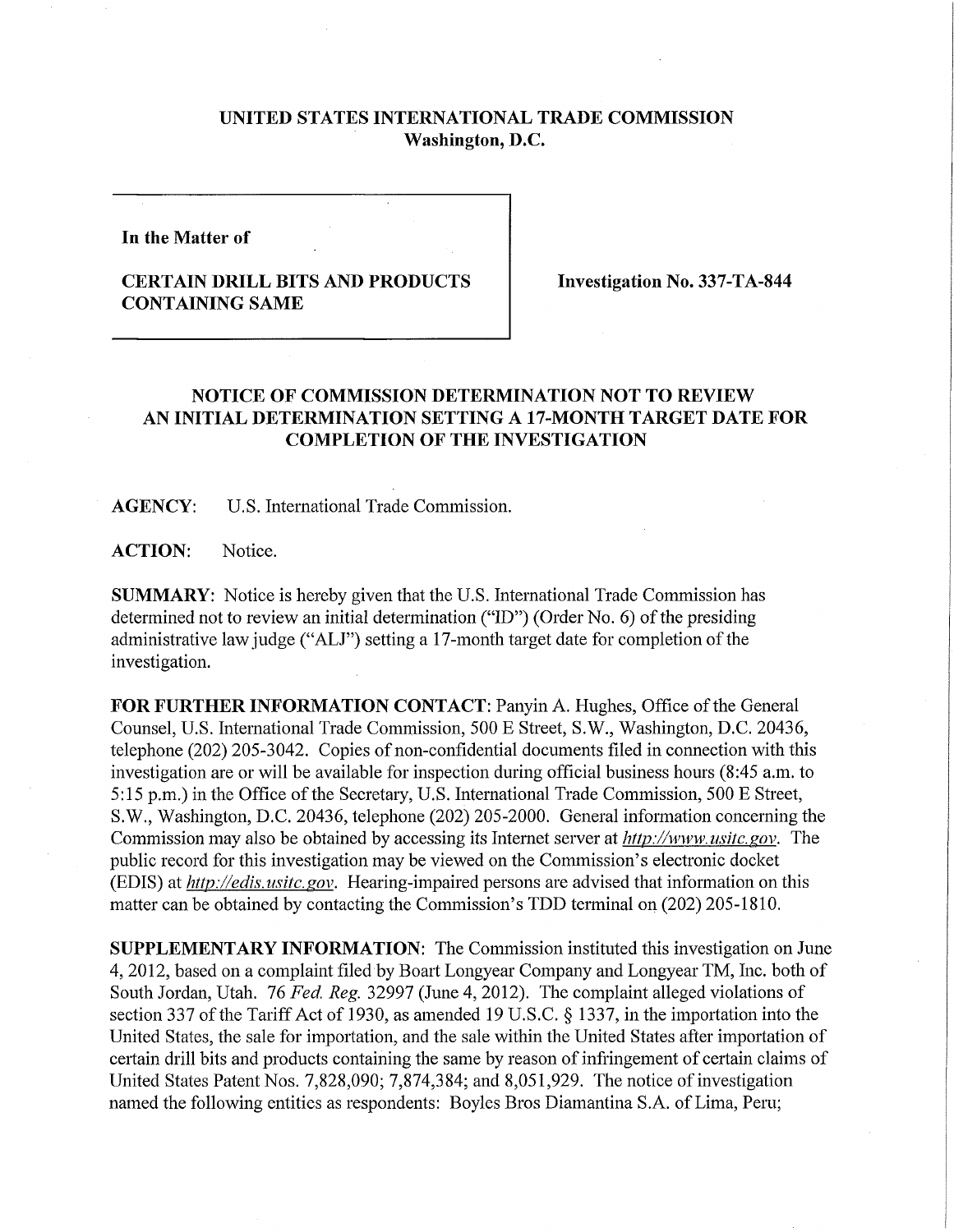## **UNITED STATES INTERNATIONAL TRADE COMMISSION Washington, D.C.**

**In the Matter of** 

## **CERTAIN DRILL BITS AND PRODUCTS CONTAINING SAME**

**Investigation No. 337-TA-844** 

## **NOTICE OF COMMISSION DETERMINATION NOT TO REVIEW AN INITIAL DETERMINATION SETTING A 17-MONTH TARGET DATE FOR COMPLETION OF THE INVESTIGATION**

**AGENCY:** U.S. International Trade Commission.

**ACTION:** Notice.

**SUMMARY:** Notice is hereby given that the U.S. International Trade Commission has determined not to review an initial determination ("ID") (Order No. 6) of the presiding administrative law judge ("ALJ") setting a 17-month target date for completion of the investigation.

**FOR FURTHER INFORMATION CONTACT: Panyin A. Hughes, Office of the General** Counsel, U.S. International Trade Commission, 500 E Street, S.W., Washington, D.C. 20436, telephone (202) 205-3042. Copies of non-confidential documents filed in connection with this investigation are or will be available for inspection during official business hours (8:45 a.m. to 5:15 p.m.) in the Office of the Secretary, U.S. International Trade Commission, 500 E Street, S.W., Washington, D.C. 20436, telephone (202) 205-2000. General infonnation concerning the Commission may also be obtained by accessing its Internet server at *http://www. usitc. gov.* The public record for this investigation may be viewed on the Commission's electronic docket (EDIS) at *http://edis. usitc. gov.* Hearing-impaired persons are advised that information on this matter can be obtained by contacting the Commission's TDD terminal on (202) 205-1810.

**SUPPLEMENTARY INFORMATION:** The Commission instituted this investigation on June 4, 2012, based on a complaint filed by Boart Longyear Company and Longyear TM, Inc. both of South Jordan, Utah. 76 *Fed. Reg.* 32997 (June 4, 2012). The complaint alleged violations of section 337 of the Tariff Act of 1930, as amended 19 U.S.C. § 1337, in the importation into the United States, the sale for importation, and the sale within the United States after importation of certain drill bits and products containing the same by reason of infringement of certain claims of United States Patent Nos. 7,828,090; 7,874,384; and 8,051,929. The notice of investigation named the following entities as respondents: Boyles Bros Diamantina S.A. of Lima, Peru;